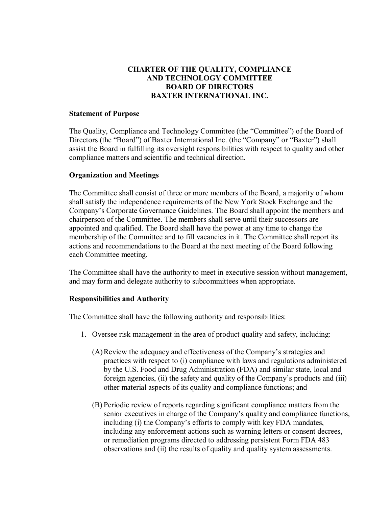## **CHARTER OF THE QUALITY, COMPLIANCE AND TECHNOLOGY COMMITTEE BOARD OF DIRECTORS BAXTER INTERNATIONAL INC.**

## **Statement of Purpose**

The Quality, Compliance and Technology Committee (the "Committee") of the Board of Directors (the "Board") of Baxter International Inc. (the "Company" or "Baxter") shall assist the Board in fulfilling its oversight responsibilities with respect to quality and other compliance matters and scientific and technical direction.

## **Organization and Meetings**

The Committee shall consist of three or more members of the Board, a majority of whom shall satisfy the independence requirements of the New York Stock Exchange and the Company's Corporate Governance Guidelines. The Board shall appoint the members and chairperson of the Committee. The members shall serve until their successors are appointed and qualified. The Board shall have the power at any time to change the membership of the Committee and to fill vacancies in it. The Committee shall report its actions and recommendations to the Board at the next meeting of the Board following each Committee meeting.

The Committee shall have the authority to meet in executive session without management, and may form and delegate authority to subcommittees when appropriate.

## **Responsibilities and Authority**

The Committee shall have the following authority and responsibilities:

- 1. Oversee risk management in the area of product quality and safety, including:
	- (A)Review the adequacy and effectiveness of the Company's strategies and practices with respect to (i) compliance with laws and regulations administered by the U.S. Food and Drug Administration (FDA) and similar state, local and foreign agencies, (ii) the safety and quality of the Company's products and (iii) other material aspects of its quality and compliance functions; and
	- (B) Periodic review of reports regarding significant compliance matters from the senior executives in charge of the Company's quality and compliance functions, including (i) the Company's efforts to comply with key FDA mandates, including any enforcement actions such as warning letters or consent decrees, or remediation programs directed to addressing persistent Form FDA 483 observations and (ii) the results of quality and quality system assessments.